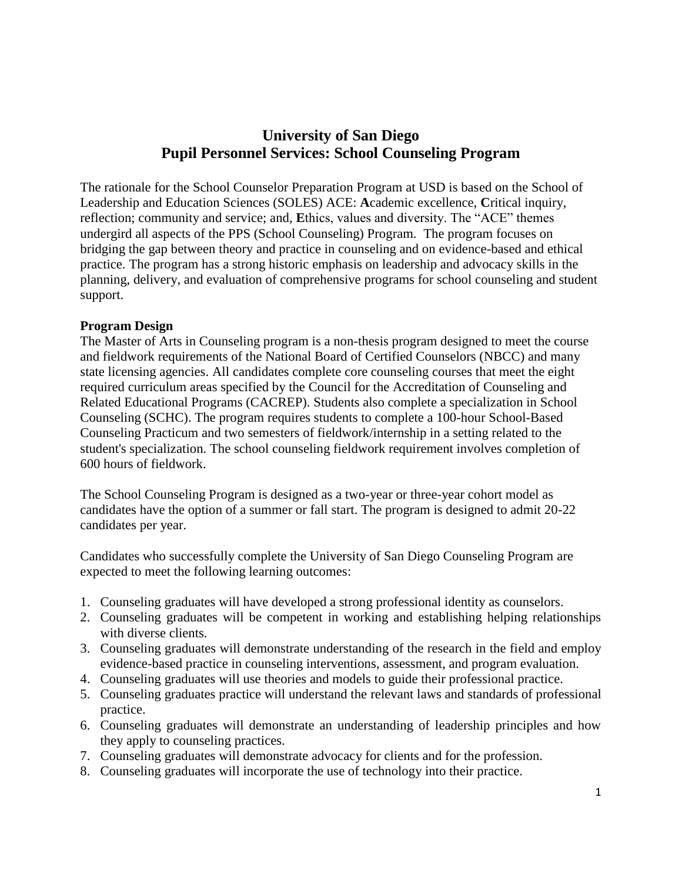# **University of San Diego Pupil Personnel Services: School Counseling Program**

The rationale for the School Counselor Preparation Program at USD is based on the School of Leadership and Education Sciences (SOLES) ACE: **A**cademic excellence, **C**ritical inquiry, reflection; community and service; and, Ethics, values and diversity. The "ACE" themes undergird all aspects of the PPS (School Counseling) Program. The program focuses on bridging the gap between theory and practice in counseling and on evidence-based and ethical practice. The program has a strong historic emphasis on leadership and advocacy skills in the planning, delivery, and evaluation of comprehensive programs for school counseling and student support.

#### **Program Design**

The Master of Arts in Counseling program is a non-thesis program designed to meet the course and fieldwork requirements of the National Board of Certified Counselors (NBCC) and many state licensing agencies. All candidates complete core counseling courses that meet the eight required curriculum areas specified by the Council for the Accreditation of Counseling and Related Educational Programs (CACREP). Students also complete a specialization in School Counseling (SCHC). The program requires students to complete a 100-hour School-Based Counseling Practicum and two semesters of fieldwork/internship in a setting related to the student's specialization. The school counseling fieldwork requirement involves completion of 600 hours of fieldwork.

The School Counseling Program is designed as a two-year or three-year cohort model as candidates have the option of a summer or fall start. The program is designed to admit 20-22 candidates per year.

Candidates who successfully complete the University of San Diego Counseling Program are expected to meet the following learning outcomes:

- 1. Counseling graduates will have developed a strong professional identity as counselors.
- 2. Counseling graduates will be competent in working and establishing helping relationships with diverse clients.
- 3. Counseling graduates will demonstrate understanding of the research in the field and employ evidence-based practice in counseling interventions, assessment, and program evaluation.
- 4. Counseling graduates will use theories and models to guide their professional practice.
- 5. Counseling graduates practice will understand the relevant laws and standards of professional practice.
- 6. Counseling graduates will demonstrate an understanding of leadership principles and how they apply to counseling practices.
- 7. Counseling graduates will demonstrate advocacy for clients and for the profession.
- 8. Counseling graduates will incorporate the use of technology into their practice.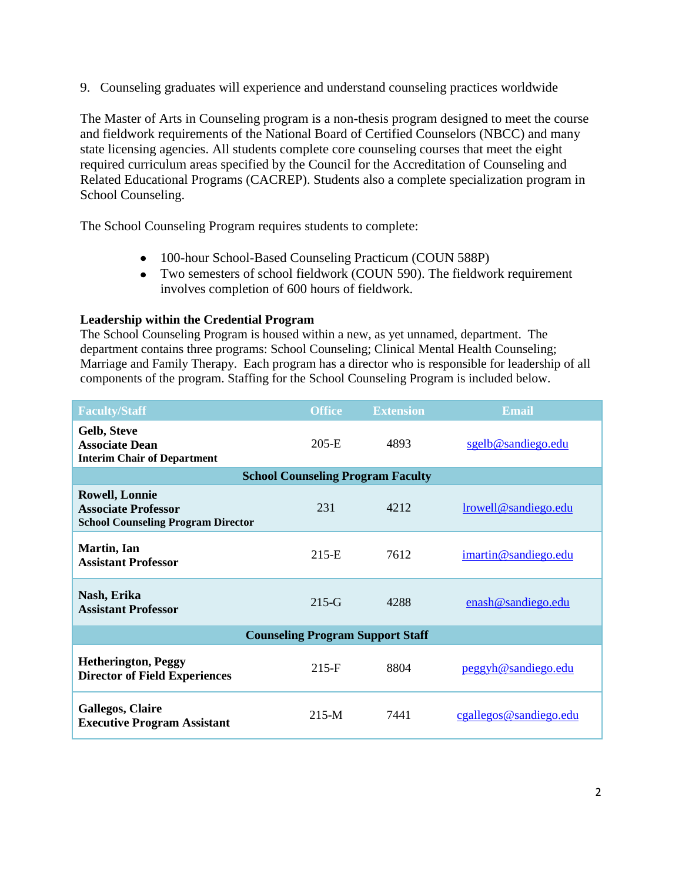9. Counseling graduates will experience and understand counseling practices worldwide

The Master of Arts in Counseling program is a non-thesis program designed to meet the course and fieldwork requirements of the National Board of Certified Counselors (NBCC) and many state licensing agencies. All students complete core counseling courses that meet the eight required curriculum areas specified by the Council for the Accreditation of Counseling and Related Educational Programs (CACREP). Students also a complete specialization program in School Counseling.

The School Counseling Program requires students to complete:

- 100-hour School-Based Counseling Practicum (COUN 588P)
- Two semesters of school fieldwork (COUN 590). The fieldwork requirement involves completion of 600 hours of fieldwork.

#### **Leadership within the Credential Program**

The School Counseling Program is housed within a new, as yet unnamed, department. The department contains three programs: School Counseling; Clinical Mental Health Counseling; Marriage and Family Therapy. Each program has a director who is responsible for leadership of all components of the program. Staffing for the School Counseling Program is included below.

| <b>Faculty/Staff</b>                                                                             | <b>Office</b> | <b>Extension</b>                         | Email                  |
|--------------------------------------------------------------------------------------------------|---------------|------------------------------------------|------------------------|
| Gelb, Steve<br><b>Associate Dean</b><br><b>Interim Chair of Department</b>                       | $205-E$       | 4893                                     | sgelb@sandiego.edu     |
|                                                                                                  |               | <b>School Counseling Program Faculty</b> |                        |
| <b>Rowell, Lonnie</b><br><b>Associate Professor</b><br><b>School Counseling Program Director</b> | 231           | 4212                                     | lrowell@sandiego.edu   |
| Martin, Ian<br><b>Assistant Professor</b>                                                        | $215-E$       | 7612                                     | imartin@sandiego.edu   |
| Nash, Erika<br><b>Assistant Professor</b>                                                        | $215-G$       | 4288                                     | enash@sandiego.edu     |
| <b>Counseling Program Support Staff</b>                                                          |               |                                          |                        |
| <b>Hetherington, Peggy</b><br><b>Director of Field Experiences</b>                               | $215-F$       | 8804                                     | peggyh@sandiego.edu    |
| <b>Gallegos, Claire</b><br><b>Executive Program Assistant</b>                                    | $215-M$       | 7441                                     | cgallegos@sandiego.edu |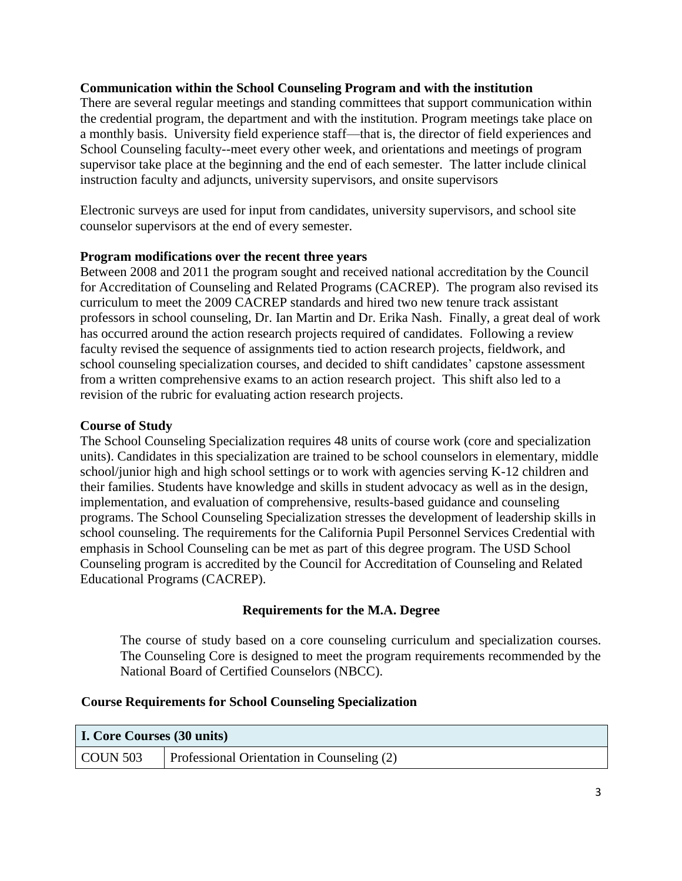#### **Communication within the School Counseling Program and with the institution**

There are several regular meetings and standing committees that support communication within the credential program, the department and with the institution. Program meetings take place on a monthly basis. University field experience staff—that is, the director of field experiences and School Counseling faculty--meet every other week, and orientations and meetings of program supervisor take place at the beginning and the end of each semester. The latter include clinical instruction faculty and adjuncts, university supervisors, and onsite supervisors

Electronic surveys are used for input from candidates, university supervisors, and school site counselor supervisors at the end of every semester.

#### **Program modifications over the recent three years**

Between 2008 and 2011 the program sought and received national accreditation by the Council for Accreditation of Counseling and Related Programs (CACREP). The program also revised its curriculum to meet the 2009 CACREP standards and hired two new tenure track assistant professors in school counseling, Dr. Ian Martin and Dr. Erika Nash. Finally, a great deal of work has occurred around the action research projects required of candidates. Following a review faculty revised the sequence of assignments tied to action research projects, fieldwork, and school counseling specialization courses, and decided to shift candidates' capstone assessment from a written comprehensive exams to an action research project. This shift also led to a revision of the rubric for evaluating action research projects.

#### **Course of Study**

The School Counseling Specialization requires 48 units of course work (core and specialization units). Candidates in this specialization are trained to be school counselors in elementary, middle school/junior high and high school settings or to work with agencies serving K-12 children and their families. Students have knowledge and skills in student advocacy as well as in the design, implementation, and evaluation of comprehensive, results-based guidance and counseling programs. The School Counseling Specialization stresses the development of leadership skills in school counseling. The requirements for the California Pupil Personnel Services Credential with emphasis in School Counseling can be met as part of this degree program. The USD School Counseling program is accredited by the Council for Accreditation of Counseling and Related Educational Programs (CACREP).

## **Requirements for the M.A. Degree**

The course of study based on a core counseling curriculum and specialization courses. The Counseling Core is designed to meet the program requirements recommended by the National Board of Certified Counselors (NBCC).

#### **Course Requirements for School Counseling Specialization**

| <b>I. Core Courses (30 units)</b> |                                            |
|-----------------------------------|--------------------------------------------|
| COUN 503                          | Professional Orientation in Counseling (2) |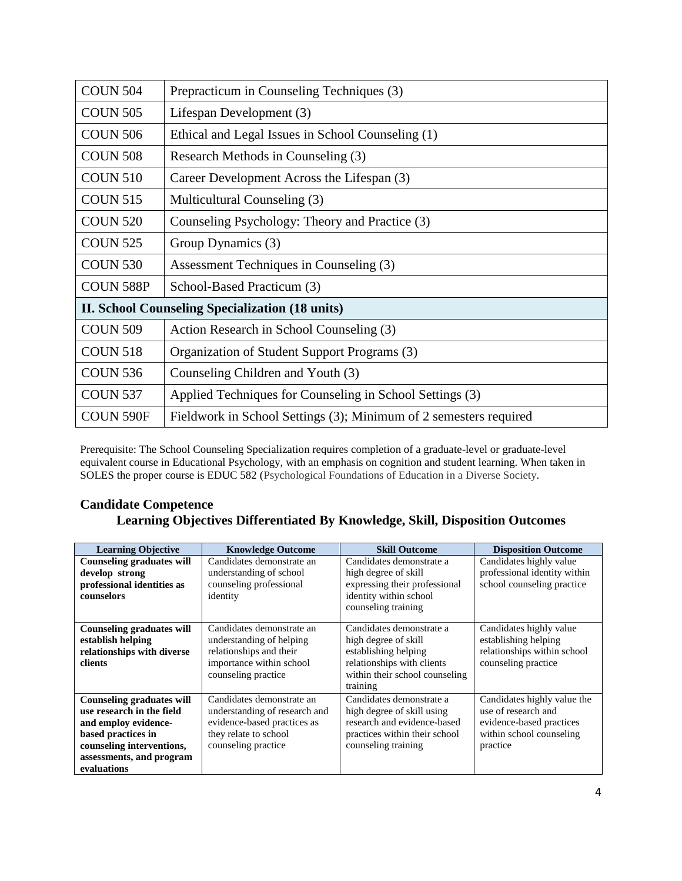| <b>COUN 504</b>                                        | Prepracticum in Counseling Techniques (3)                         |  |
|--------------------------------------------------------|-------------------------------------------------------------------|--|
| <b>COUN 505</b>                                        | Lifespan Development (3)                                          |  |
| <b>COUN 506</b>                                        | Ethical and Legal Issues in School Counseling (1)                 |  |
| <b>COUN 508</b>                                        | Research Methods in Counseling (3)                                |  |
| <b>COUN 510</b>                                        | Career Development Across the Lifespan (3)                        |  |
| <b>COUN 515</b>                                        | Multicultural Counseling (3)                                      |  |
| <b>COUN 520</b>                                        | Counseling Psychology: Theory and Practice (3)                    |  |
| <b>COUN 525</b>                                        | Group Dynamics (3)                                                |  |
| <b>COUN 530</b>                                        | Assessment Techniques in Counseling (3)                           |  |
| COUN 588P                                              | School-Based Practicum (3)                                        |  |
| <b>II. School Counseling Specialization (18 units)</b> |                                                                   |  |
| <b>COUN 509</b>                                        | Action Research in School Counseling (3)                          |  |
| <b>COUN 518</b>                                        | Organization of Student Support Programs (3)                      |  |
| <b>COUN 536</b>                                        | Counseling Children and Youth (3)                                 |  |
| <b>COUN 537</b>                                        | Applied Techniques for Counseling in School Settings (3)          |  |
| COUN 590F                                              | Fieldwork in School Settings (3); Minimum of 2 semesters required |  |

Prerequisite: The School Counseling Specialization requires completion of a graduate-level or graduate-level equivalent course in Educational Psychology, with an emphasis on cognition and student learning. When taken in SOLES the proper course is EDUC 582 (Psychological Foundations of Education in a Diverse Society.

## **Candidate Competence Learning Objectives Differentiated By Knowledge, Skill, Disposition Outcomes**

| <b>Learning Objective</b>                                                                                                                                                           | <b>Knowledge Outcome</b>                                                                                                                  | <b>Skill Outcome</b>                                                                                                                                 | <b>Disposition Outcome</b>                                                                                             |
|-------------------------------------------------------------------------------------------------------------------------------------------------------------------------------------|-------------------------------------------------------------------------------------------------------------------------------------------|------------------------------------------------------------------------------------------------------------------------------------------------------|------------------------------------------------------------------------------------------------------------------------|
| <b>Counseling graduates will</b><br>develop strong<br>professional identities as<br>counselors                                                                                      | Candidates demonstrate an<br>understanding of school<br>counseling professional<br>identity                                               | Candidates demonstrate a<br>high degree of skill<br>expressing their professional<br>identity within school<br>counseling training                   | Candidates highly value<br>professional identity within<br>school counseling practice                                  |
| <b>Counseling graduates will</b><br>establish helping<br>relationships with diverse<br>clients                                                                                      | Candidates demonstrate an<br>understanding of helping<br>relationships and their<br>importance within school<br>counseling practice       | Candidates demonstrate a<br>high degree of skill<br>establishing helping<br>relationships with clients<br>within their school counseling<br>training | Candidates highly value<br>establishing helping<br>relationships within school<br>counseling practice                  |
| <b>Counseling graduates will</b><br>use research in the field<br>and employ evidence-<br>based practices in<br>counseling interventions,<br>assessments, and program<br>evaluations | Candidates demonstrate an<br>understanding of research and<br>evidence-based practices as<br>they relate to school<br>counseling practice | Candidates demonstrate a<br>high degree of skill using<br>research and evidence-based<br>practices within their school<br>counseling training        | Candidates highly value the<br>use of research and<br>evidence-based practices<br>within school counseling<br>practice |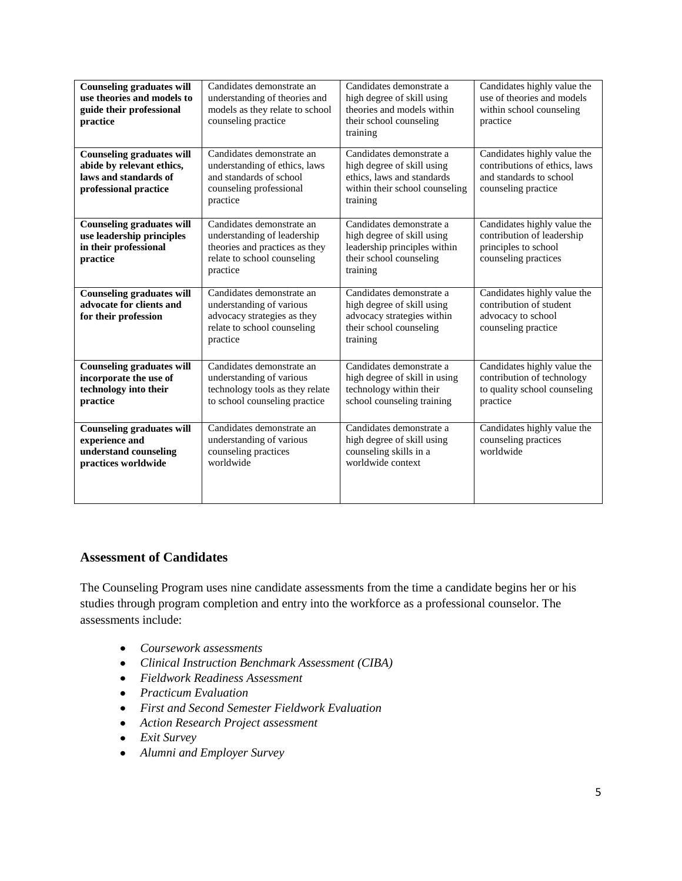| <b>Counseling graduates will</b><br>use theories and models to<br>guide their professional<br>practice          | Candidates demonstrate an<br>understanding of theories and<br>models as they relate to school<br>counseling practice                  | Candidates demonstrate a<br>high degree of skill using<br>theories and models within<br>their school counseling<br>training        | Candidates highly value the<br>use of theories and models<br>within school counseling<br>practice              |
|-----------------------------------------------------------------------------------------------------------------|---------------------------------------------------------------------------------------------------------------------------------------|------------------------------------------------------------------------------------------------------------------------------------|----------------------------------------------------------------------------------------------------------------|
| <b>Counseling graduates will</b><br>abide by relevant ethics,<br>laws and standards of<br>professional practice | Candidates demonstrate an<br>understanding of ethics, laws<br>and standards of school<br>counseling professional<br>practice          | Candidates demonstrate a<br>high degree of skill using<br>ethics, laws and standards<br>within their school counseling<br>training | Candidates highly value the<br>contributions of ethics, laws<br>and standards to school<br>counseling practice |
| <b>Counseling graduates will</b><br>use leadership principles<br>in their professional<br>practice              | Candidates demonstrate an<br>understanding of leadership<br>theories and practices as they<br>relate to school counseling<br>practice | Candidates demonstrate a<br>high degree of skill using<br>leadership principles within<br>their school counseling<br>training      | Candidates highly value the<br>contribution of leadership<br>principles to school<br>counseling practices      |
| <b>Counseling graduates will</b><br>advocate for clients and<br>for their profession                            | Candidates demonstrate an<br>understanding of various<br>advocacy strategies as they<br>relate to school counseling<br>practice       | Candidates demonstrate a<br>high degree of skill using<br>advocacy strategies within<br>their school counseling<br>training        | Candidates highly value the<br>contribution of student<br>advocacy to school<br>counseling practice            |
| <b>Counseling graduates will</b><br>incorporate the use of<br>technology into their<br>practice                 | Candidates demonstrate an<br>understanding of various<br>technology tools as they relate<br>to school counseling practice             | Candidates demonstrate a<br>high degree of skill in using<br>technology within their<br>school counseling training                 | Candidates highly value the<br>contribution of technology<br>to quality school counseling<br>practice          |
| <b>Counseling graduates will</b><br>experience and<br>understand counseling<br>practices worldwide              | Candidates demonstrate an<br>understanding of various<br>counseling practices<br>worldwide                                            | Candidates demonstrate a<br>high degree of skill using<br>counseling skills in a<br>worldwide context                              | Candidates highly value the<br>counseling practices<br>worldwide                                               |

## **Assessment of Candidates**

The Counseling Program uses nine candidate assessments from the time a candidate begins her or his studies through program completion and entry into the workforce as a professional counselor. The assessments include:

- *Coursework assessments*
- *Clinical Instruction Benchmark Assessment (CIBA)*
- *Fieldwork Readiness Assessment*
- *Practicum Evaluation*
- *First and Second Semester Fieldwork Evaluation*
- *Action Research Project assessment*
- *Exit Survey*
- *Alumni and Employer Survey*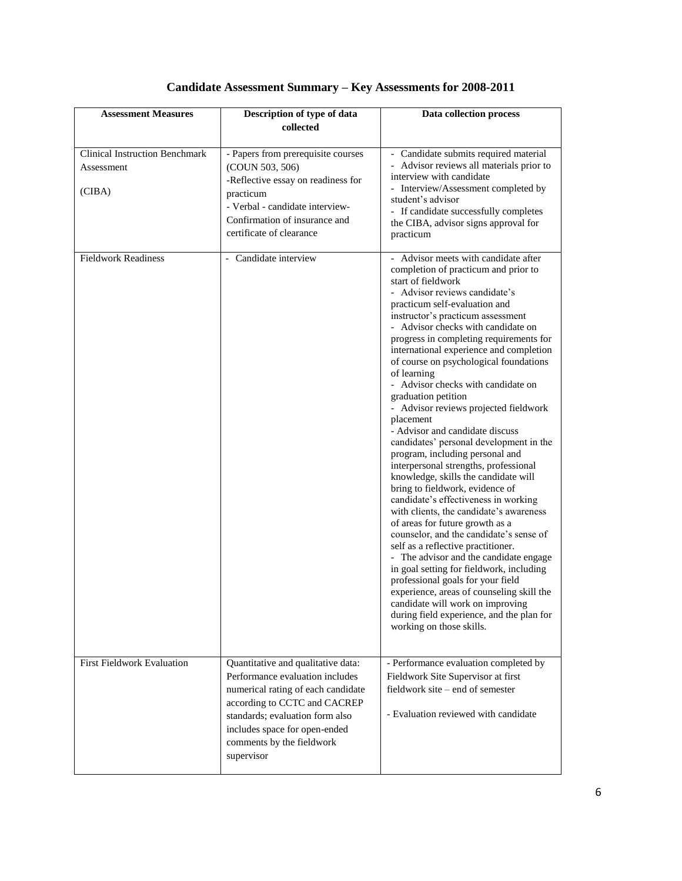| <b>Assessment Measures</b>                                    | Description of type of data<br>collected                                                                                                                                                                                                                   | Data collection process                                                                                                                                                                                                                                                                                                                                                                                                                                                                                                                                                                                                                                                                                                                                                                                                                                                                                                                                                                                                                                                                                                                                                                                                                            |
|---------------------------------------------------------------|------------------------------------------------------------------------------------------------------------------------------------------------------------------------------------------------------------------------------------------------------------|----------------------------------------------------------------------------------------------------------------------------------------------------------------------------------------------------------------------------------------------------------------------------------------------------------------------------------------------------------------------------------------------------------------------------------------------------------------------------------------------------------------------------------------------------------------------------------------------------------------------------------------------------------------------------------------------------------------------------------------------------------------------------------------------------------------------------------------------------------------------------------------------------------------------------------------------------------------------------------------------------------------------------------------------------------------------------------------------------------------------------------------------------------------------------------------------------------------------------------------------------|
| <b>Clinical Instruction Benchmark</b><br>Assessment<br>(CIBA) | - Papers from prerequisite courses<br>(COUN 503, 506)<br>-Reflective essay on readiness for<br>practicum<br>- Verbal - candidate interview-<br>Confirmation of insurance and<br>certificate of clearance                                                   | - Candidate submits required material<br>- Advisor reviews all materials prior to<br>interview with candidate<br>- Interview/Assessment completed by<br>student's advisor<br>- If candidate successfully completes<br>the CIBA, advisor signs approval for<br>practicum                                                                                                                                                                                                                                                                                                                                                                                                                                                                                                                                                                                                                                                                                                                                                                                                                                                                                                                                                                            |
| <b>Fieldwork Readiness</b>                                    | - Candidate interview                                                                                                                                                                                                                                      | - Advisor meets with candidate after<br>completion of practicum and prior to<br>start of fieldwork<br>- Advisor reviews candidate's<br>practicum self-evaluation and<br>instructor's practicum assessment<br>- Advisor checks with candidate on<br>progress in completing requirements for<br>international experience and completion<br>of course on psychological foundations<br>of learning<br>- Advisor checks with candidate on<br>graduation petition<br>- Advisor reviews projected fieldwork<br>placement<br>- Advisor and candidate discuss<br>candidates' personal development in the<br>program, including personal and<br>interpersonal strengths, professional<br>knowledge, skills the candidate will<br>bring to fieldwork, evidence of<br>candidate's effectiveness in working<br>with clients, the candidate's awareness<br>of areas for future growth as a<br>counselor, and the candidate's sense of<br>self as a reflective practitioner.<br>- The advisor and the candidate engage<br>in goal setting for fieldwork, including<br>professional goals for your field<br>experience, areas of counseling skill the<br>candidate will work on improving<br>during field experience, and the plan for<br>working on those skills. |
| <b>First Fieldwork Evaluation</b>                             | Quantitative and qualitative data:<br>Performance evaluation includes<br>numerical rating of each candidate<br>according to CCTC and CACREP<br>standards; evaluation form also<br>includes space for open-ended<br>comments by the fieldwork<br>supervisor | - Performance evaluation completed by<br>Fieldwork Site Supervisor at first<br>fieldwork site - end of semester<br>- Evaluation reviewed with candidate                                                                                                                                                                                                                                                                                                                                                                                                                                                                                                                                                                                                                                                                                                                                                                                                                                                                                                                                                                                                                                                                                            |